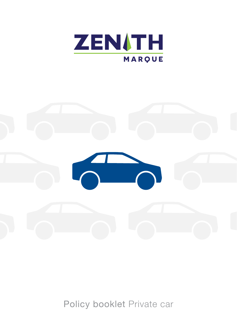



Policy booklet Private car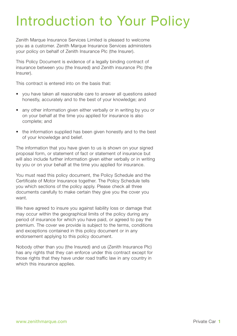# Introduction to Your Policy

Zenith Marque Insurance Services Limited is pleased to welcome you as a customer. Zenith Marque Insurance Services administers your policy on behalf of Zenith Insurance Plc (the Insurer).

This Policy Document is evidence of a legally binding contract of insurance between you (the Insured) and Zenith insurance Plc (the Insurer).

This contract is entered into on the basis that:

- you have taken all reasonable care to answer all questions asked honestly, accurately and to the best of your knowledge; and
- any other information given either verbally or in writing by you or on your behalf at the time you applied for insurance is also complete; and
- the information supplied has been given honestly and to the best of your knowledge and belief.

The information that you have given to us is shown on your signed proposal form, or statement of fact or statement of insurance but will also include further information given either verbally or in writing by you or on your behalf at the time you applied for insurance.

You must read this policy document, the Policy Schedule and the Certificate of Motor Insurance together. The Policy Schedule tells you which sections of the policy apply. Please check all three documents carefully to make certain they give you the cover you want.

We have agreed to insure you against liability loss or damage that may occur within the geographical limits of the policy during any period of insurance for which you have paid, or agreed to pay the premium. The cover we provide is subject to the terms, conditions and exceptions contained in this policy document or in any endorsement applying to this policy document.

Nobody other than you (the Insured) and us (Zenith Insurance Plc) has any rights that they can enforce under this contract except for those rights that they have under road traffic law in any country in which this insurance applies.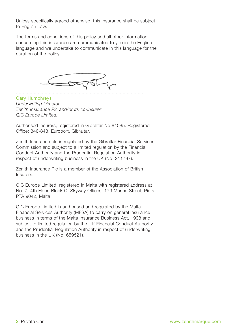Unless specifically agreed otherwise, this insurance shall be subject to English Law.

The terms and conditions of this policy and all other information concerning this insurance are communicated to you in the English language and we undertake to communicate in this language for the duration of the policy.



Gary Humphreys *Underwriting Director Zenith Insurance Plc and/or its co-Insurer QIC Europe Limited.*

Authorised Insurers, registered in Gibraltar No 84085. Registered Office: 846-848, Europort, Gibraltar.

Zenith Insurance plc is regulated by the Gibraltar Financial Services Commission and subject to a limited regulation by the Financial Conduct Authority and the Prudential Regulation Authority in respect of underwriting business in the UK (No. 211787).

Zenith Insurance Plc is a member of the Association of British Insurers.

QIC Europe Limited, registered in Malta with registered address at No. 7, 4th Floor, Block C, Skyway Offices, 179 Marina Street, Pieta, PTA 9042, Malta.

QIC Europe Limited is authorised and regulated by the Malta Financial Services Authority (MFSA) to carry on general insurance business in terms of the Malta Insurance Business Act, 1998 and subject to limited regulation by the UK Financial Conduct Authority and the Prudential Regulation Authority in respect of underwriting business in the UK (No. 659521).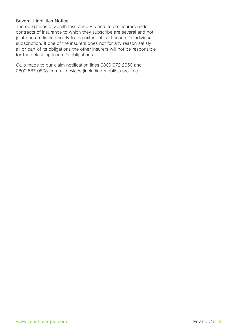## Several Liabilities Notice

The obligations of Zenith Insurance Plc and its co-insurers under contracts of insurance to which they subscribe are several and not joint and are limited solely to the extent of each insurer's individual subscription. If one of the insurers does not for any reason satisfy all or part of its obligations the other insurers will not be responsible for the defaulting insurer's obligations.

Calls made to our claim notification lines 0800 072 2050 and 0800 587 0808 from all devices (including mobiles) are free.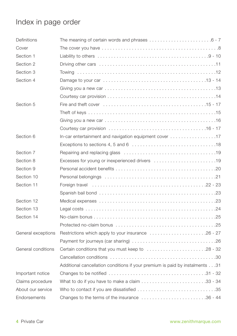# Index in page order

| Definitions        |                                                                                                         |
|--------------------|---------------------------------------------------------------------------------------------------------|
| Cover              |                                                                                                         |
| Section 1          |                                                                                                         |
| Section 2          |                                                                                                         |
| Section 3          |                                                                                                         |
| Section 4          |                                                                                                         |
|                    |                                                                                                         |
|                    |                                                                                                         |
| Section 5          | Fire and theft cover $\dots\dots\dots\dots\dots\dots\dots\dots\dots\dots\dots\dots\dots\dots$           |
|                    |                                                                                                         |
|                    |                                                                                                         |
|                    |                                                                                                         |
| Section 6          | In-car entertainment and navigation equipment cover $\dots\dots\dots\dots\dots\dots\dots$               |
|                    |                                                                                                         |
| Section 7          |                                                                                                         |
| Section 8          |                                                                                                         |
| Section 9          |                                                                                                         |
| Section 10         |                                                                                                         |
| Section 11         |                                                                                                         |
|                    |                                                                                                         |
| Section 12         |                                                                                                         |
| Section 13         |                                                                                                         |
| Section 14         |                                                                                                         |
|                    |                                                                                                         |
| General exceptions | Restrictions which apply to your insurance 26 - 27                                                      |
|                    |                                                                                                         |
| General conditions | Certain conditions that you must keep to 28 - 32                                                        |
|                    |                                                                                                         |
|                    | Additional cancellation conditions if your premium is paid by instalments31                             |
| Important notice   |                                                                                                         |
| Claims procedure   |                                                                                                         |
| About our service  |                                                                                                         |
| Endorsements       | Changes to the terms of the insurance $\ldots \ldots \ldots \ldots \ldots \ldots \ldots \ldots 36 - 44$ |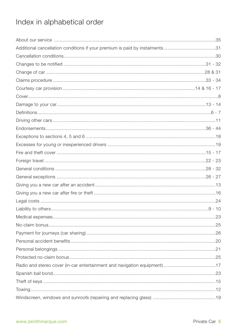# Index in alphabetical order

| Additional cancellation conditions if your premium is paid by instalments31 |  |
|-----------------------------------------------------------------------------|--|
|                                                                             |  |
|                                                                             |  |
|                                                                             |  |
|                                                                             |  |
|                                                                             |  |
|                                                                             |  |
|                                                                             |  |
|                                                                             |  |
|                                                                             |  |
|                                                                             |  |
|                                                                             |  |
|                                                                             |  |
|                                                                             |  |
|                                                                             |  |
|                                                                             |  |
|                                                                             |  |
|                                                                             |  |
|                                                                             |  |
|                                                                             |  |
|                                                                             |  |
|                                                                             |  |
|                                                                             |  |
|                                                                             |  |
|                                                                             |  |
|                                                                             |  |
|                                                                             |  |
| Radio and stereo cover (in-car entertainment and navigation equipment) 17   |  |
|                                                                             |  |
|                                                                             |  |
|                                                                             |  |
|                                                                             |  |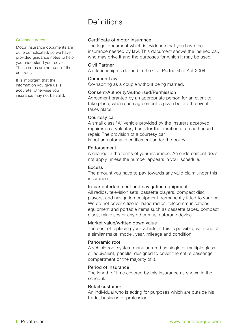# Definitions

#### Guidance notes

Motor insurance documents are quite complicated, so we have provided guidance notes to help you understand your cover. These notes are not part of the contract.

It is important that the information you give us is accurate, otherwise your insurance may not be valid.

## Certificate of motor insurance

The legal document which is evidence that you have the insurance needed by law. This document shows the insured car, who may drive it and the purposes for which it may be used.

## Civil Partner

A relationship as defined in the Civil Partnership Act 2004.

#### Common Law

Co-habiting as a couple without being married.

#### Consent/Authority/Authorised/Permission

Agreement granted by an appropriate person for an event to take place, when such agreement is given before the event takes place.

#### Courtesy car

A small class "A" vehicle provided by the Insurers approved repairer on a voluntary basis for the duration of an authorised repair. The provision of a courtesy car is not an automatic entitlement under the policy.

### Endorsement

A change in the terms of your insurance. An endorsement does not apply unless the number appears in your schedule.

### Excess

The amount you have to pay towards any valid claim under this insurance.

#### In-car entertainment and navigation equipment

All radios, television sets, cassette players, compact disc players, and navigation equipment permanently fitted to your car. We do not cover citizens' band radios, telecommunications equipment and portable items such as cassette tapes, compact discs, minidiscs or any other music-storage device.

#### Market value/written down value

The cost of replacing your vehicle, if this is possible, with one of a similar make, model, year, mileage and condition.

## Panoramic roof

A vehicle roof system manufactured as single or multiple glass, or equivalent, panel(s) designed to cover the entire passenger compartment or the majority of it.

## Period of insurance

The length of time covered by this insurance as shown in the schedule.

## Retail customer

An individual who is acting for purposes which are outside his trade, business or profession.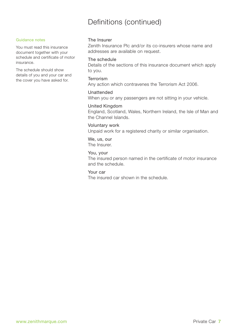# Definitions (continued)

#### Guidance notes

You must read this insurance document together with your schedule and certificate of motor insurance.

The schedule should show details of you and your car and the cover you have asked for.

## The Insurer

Zenith Insurance Plc and/or its co-insurers whose name and addresses are available on request.

#### The schedule

Details of the sections of this insurance document which apply to you.

#### Terrorism

Any action which contravenes the Terrorism Act 2006.

## Unattended

When you or any passengers are not sitting in your vehicle.

## United Kingdom

England, Scotland, Wales, Northern Ireland, the Isle of Man and the Channel Islands.

#### Voluntary work

Unpaid work for a registered charity or similar organisation.

# We, us, our

The Insurer.

## You, your

The insured person named in the certificate of motor insurance and the schedule.

### Your car

The insured car shown in the schedule.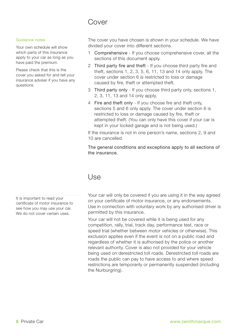# Cover

#### Guidance notes

Your own schedule will show which parts of this insurance apply to your car as long as you have paid the premium.

Please check that this is the cover you asked for and tell your insurance adviser if you have any questions.

It is important to read your certificate of motor insurance to see how you may use your car. We do not cover certain uses.

The cover you have chosen is shown in your schedule. We have divided your cover into different sections.

- 1 Comprehensive If you choose comprehensive cover, all the sections of this document apply.
- 2 Third party fire and theft If you choose third party fire and theft, sections 1, 2, 3, 5, 6, 11, 13 and 14 only apply. The cover under section 6 is restricted to loss or damage caused by fire, theft or attempted theft.
- 3 Third party only If you choose third party only, sections 1, 2, 3, 11, 13 and 14 only apply.
- 4 Fire and theft only If you choose fire and theft only, sections 5 and 6 only apply. The cover under section 6 is restricted to loss or damage caused by fire, theft or attempted theft. (You can only have this cover if your car is kept in your locked garage and is not being used.)

If the insurance is not in one person's name, sections 2, 9 and 10 are cancelled.

The general conditions and exceptions apply to all sections of the insurance.

## Use

Your car will only be covered if you are using it in the way agreed on your certificate of motor insurance, or any endorsements. Use in connection with voluntary work by any authorised driver is permitted by this insurance.

Your car will not be covered while it is being used for any competition, rally, trial, track day, performance test, race or speed trial (whether between motor vehicles or otherwise). This exclusion applies even if the event is not on a public road and regardless of whether it is authorised by the police or another relevant authority. Cover is also not provided for your vehicle being used on derestricted toll roads. Derestricted toll roads are roads the public can pay to have access to and where speed restrictions are temporarily or permanently suspended (including the Nurburgring).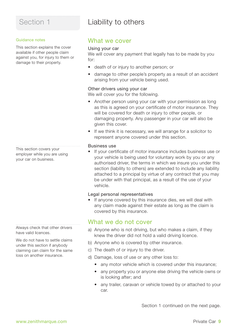#### Guidance notes

This section explains the cover available if other people claim against you, for injury to them or damage to their property.

This section covers your employer while you are using your car on business.

Always check that other drivers have valid licences.

We do not have to settle claims under this section if anybody claiming can claim for the same loss on another insurance.

# Liability to others

## What we cover

### Using your car

We will cover any payment that legally has to be made by you for:

- death of or injury to another person; or
- damage to other people's property as a result of an accident arising from your vehicle being used.

## Other drivers using your car

We will cover you for the following.

- Another person using your car with your permission as long as this is agreed on your certificate of motor insurance. They will be covered for death or injury to other people, or damaging property. Any passenger in your car will also be given this cover.
- If we think it is necessary, we will arrange for a solicitor to represent anyone covered under this section.

## Business use

If your certificate of motor insurance includes business use or your vehicle is being used for voluntary work by you or any authorised driver, the terms in which we insure you under this section (liability to others) are extended to include any liability attached to a principal by virtue of any contract that you may be under with that principal, as a result of the use of your vehicle.

## Legal personal representatives

• If anyone covered by this insurance dies, we will deal with any claim made against their estate as long as the claim is covered by this insurance.

## What we do not cover

- a) Anyone who is not driving, but who makes a claim, if they knew the driver did not hold a valid driving licence.
- b) Anyone who is covered by other insurance.
- c) The death of or injury to the driver.
- d) Damage, loss of use or any other loss to:
	- any motor vehicle which is covered under this insurance;
	- any property you or anyone else driving the vehicle owns or is looking after; and
	- any trailer, caravan or vehicle towed by or attached to your car.

Section 1 continued on the next page.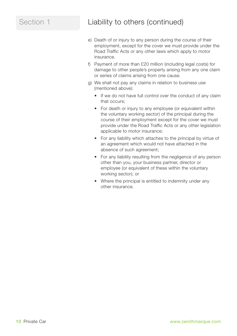# Section 1 Liability to others (continued)

- e) Death of or injury to any person during the course of their employment, except for the cover we must provide under the Road Traffic Acts or any other laws which apply to motor insurance.
- f) Payment of more than £20 million (including legal costs) for damage to other people's property arising from any one claim or series of claims arising from one cause.
- g) We shall not pay any claims in relation to business use (mentioned above):
	- If we do not have full control over the conduct of any claim that occurs;
	- For death or injury to any employee (or equivalent within the voluntary working sector) of the principal during the course of their employment except for the cover we must provide under the Road Traffic Acts or any other legislation applicable to motor insurance;
	- For any liability which attaches to the principal by virtue of an agreement which would not have attached in the absence of such agreement;
	- For any liability resulting from the negligence of any person other than you, your business partner, director or employee (or equivalent of these within the voluntary working sector); or
	- Where the principal is entitled to indemnity under any other insurance.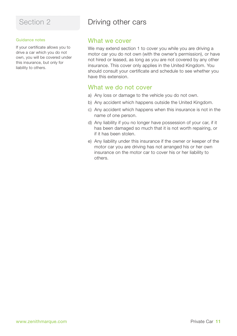#### Guidance notes

If your certificate allows you to drive a car which you do not own, you will be covered under this insurance, but only for liability to others.

# Driving other cars

## What we cover

We may extend section 1 to cover you while you are driving a motor car you do not own (with the owner's permission), or have not hired or leased, as long as you are not covered by any other insurance. This cover only applies in the United Kingdom. You should consult your certificate and schedule to see whether you have this extension.

## What we do not cover

- a) Any loss or damage to the vehicle you do not own.
- b) Any accident which happens outside the United Kingdom.
- c) Any accident which happens when this insurance is not in the name of one person.
- d) Any liability if you no longer have possession of your car, if it has been damaged so much that it is not worth repairing, or if it has been stolen.
- e) Any liability under this insurance if the owner or keeper of the motor car you are driving has not arranged his or her own insurance on the motor car to cover his or her liability to others.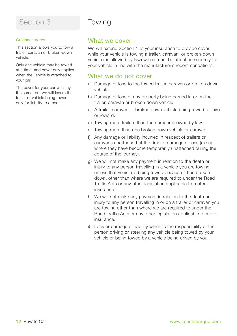#### Guidance notes

This section allows you to tow a trailer, caravan or broken-down vehicle.

Only one vehicle may be towed at a time, and cover only applies when the vehicle is attached to your car.

The cover for your car will stay the same, but we will insure the trailer or vehicle being towed only for liability to others.

# Towing

## What we cover

We will extend Section 1 of your insurance to provide cover while your vehicle is towing a trailer, caravan or broken-down vehicle (as allowed by law) which must be attached securely to your vehicle in line with the manufacturer's recommendations.

## What we do not cover

- a) Damage or loss to the towed trailer, caravan or broken down vehicle.
- b) Damage or loss of any property being carried in or on the trailer, caravan or broken down vehicle.
- c) A trailer, caravan or broken down vehicle being towed for hire or reward.
- d) Towing more trailers than the number allowed by law.
- e) Towing more than one broken down vehicle or caravan.
- f) Any damage or liability incurred in respect of trailers or caravans unattached at the time of damage or loss (except where they have become temporarily unattached during the course of the journey).
- g) We will not make any payment in relation to the death or injury to any person travelling in a vehicle you are towing unless that vehicle is being towed because it has broken down, other than where we are required to under the Road Traffic Acts or any other legislation applicable to motor insurance.
- h) We will not make any payment in relation to the death or injury to any person travelling in or on a trailer or caravan you are towing other than where we are required to under the Road Traffic Acts or any other legislation applicable to motor insurance.
- i) Loss or damage or liability which is the responsibility of the person driving or steering any vehicle being towed by your vehicle or being towed by a vehicle being driven by you.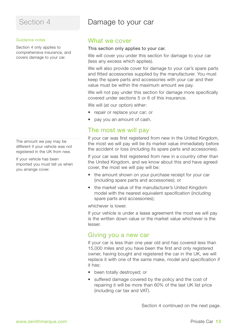# Section 4 Damage to your car

#### Guidance notes

Section 4 only applies to comprehensive insurance, and covers damage to your car.

The amount we pay may be different if your vehicle was not registered in the UK from new.

If your vehicle has been imported you must tell us when you arrange cover.

## What we cover

### This section only applies to your car.

We will cover you under this section for damage to your car (less any excess which applies).

We will also provide cover for damage to your car's spare parts and fitted accessories supplied by the manufacturer. You must keep the spare parts and accessories with your car and their value must be within the maximum amount we pay.

We will not pay under this section for damage more specifically covered under sections 5 or 6 of this insurance.

We will (at our option) either:

- repair or replace your car; or
- pay you an amount of cash.

## The most we will pay

If your car was first registered from new in the United Kingdom, the most we will pay will be its market value immediately before the accident or loss (including its spare parts and accessories).

If your car was first registered from new in a country other than the United Kingdom, and we know about this and have agreed cover, the most we will pay will be:

- the amount shown on your purchase receipt for your car (including spare parts and accessories); or
- the market value of the manufacturer's United Kingdom model with the nearest equivalent specification (including spare parts and accessories);

whichever is lower.

If your vehicle is under a lease agreement the most we will pay is the written down value or the market value whichever is the lesser.

## Giving you a new car

If your car is less than one year old and has covered less than 15,000 miles and you have been the first and only registered owner, having bought and registered the car in the UK, we will replace it with one of the same make, model and specification if it has:

- been totally destroyed; or
- suffered damage covered by the policy and the cost of repairing it will be more than 60% of the last UK list price (including car tax and VAT).

Section 4 continued on the next page.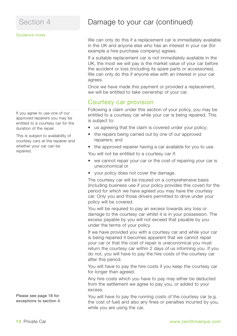#### Guidance notes

If you agree to use one of our approved repairers you may be entitled to a courtesy car for the duration of the repair.

This is subject to availability of courtesy cars at the repairer and whether your car can be repaired.

Please see page 18 for exceptions to section 4.

# Section 4 **Damage to your car (continued)**

We can only do this if a replacement car is immediately available in the UK and anyone else who has an interest in your car (for example a hire-purchase company) agrees.

If a suitable replacement car is not immediately available in the UK, the most we will pay is the market value of your car before the accident or loss (including its spare parts or accessories). We can only do this if anyone else with an interest in your car agrees.

Once we have made this payment or provided a replacement, we will be entitled to take ownership of your car.

## Courtesy car provision

Following a claim under this section of your policy, you may be entitled to a courtesy car while your car is being repaired. This is subject to:

- us agreeing that the claim is covered under your policy;
- the repairs being carried out by one of our approved repairers; and
- the approved repairer having a car available for you to use. You will not be entitled to a courtesy car if:
- we cannot repair your car or the cost of repairing your car is uneconomical or
- your policy does not cover the damage.

The courtesy car will be insured on a comprehensive basis (including business use if your policy provides this cover) for the period for which we have agreed you may have the courtesy car. Only you and those drivers permitted to drive under your policy will be covered.

You will be required to pay an excess towards any loss or damage to the courtesy car whilst it is in your possession. The excess payable by you will not exceed that payable by you under the terms of your policy.

If we have provided you with a courtesy car and while your car is being repaired it becomes apparent that we cannot repair your car or that the cost of repair is uneconomical you must return the courtesy car within 2 days of us informing you. If you do not, you will have to pay the hire costs of the courtesy car after this period.

You will have to pay the hire costs if you keep the courtesy car for longer than agreed.

Any hire costs which you have to pay may either be deducted from the settlement we agree to pay you, or added to your excess.

You will have to pay the running costs of the courtesy car (e.g. the cost of fuel) and also any fines or penalties incurred by you, while you are using the car.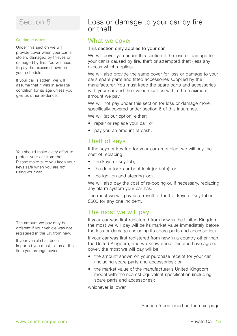#### Guidance notes

Under this section we will provide cover when your car is stolen, damaged by thieves or damaged by fire. You will need to pay the excess shown on your schedule.

If your car is stolen, we will assume that it was in average condition for its age unless you give us other evidence.

You should make every effort to protect your car from theft. Please make sure you keep your keys safe when you are not using your car.

The amount we pay may be different if your vehicle was not registered in the UK from new.

If your vehicle has been imported you must tell us at the time you arrange cover.

## Loss or damage to your car by fire or theft

## What we cover

## This section only applies to your car.

We will cover you under this section if the loss or damage to your car is caused by fire, theft or attempted theft (less any excess which applies).

We will also provide the same cover for loss or damage to your car's spare parts and fitted accessories supplied by the manufacturer. You must keep the spare parts and accessories with your car and their value must be within the maximum amount we pay.

We will not pay under this section for loss or damage more specifically covered under section 6 of this insurance.

We will (at our option) either:

- repair or replace your car; or
- pay you an amount of cash.

## Theft of keys

If the keys or key fob for your car are stolen, we will pay the cost of replacing:

- the keys or key fob;
- the door locks or boot lock (or both); or
- the ignition and steering lock.

We will also pay the cost of re-coding or, if necessary, replacing any alarm system your car has.

The most we will pay as a result of theft of keys or key fob is £500 for any one incident.

## The most we will pay

If your car was first registered from new in the United Kingdom, the most we will pay will be its market value immediately before the loss or damage (including its spare parts and accessories).

If your car was first registered from new in a country other than the United Kingdom, and we know about this and have agreed cover, the most we will pay will be:

- the amount shown on your purchase receipt for your car (including spare parts and accessories); or
- the market value of the manufacturer's United Kingdom model with the nearest equivalent specification (including spare parts and accessories);

whichever is lower.

Section 5 continued on the next page.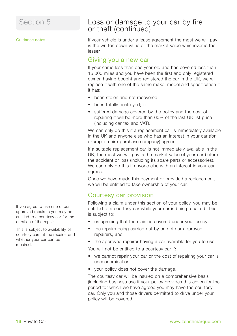Guidance notes

## Loss or damage to your car by fire or theft (continued)

If your vehicle is under a lease agreement the most we will pay is the written down value or the market value whichever is the lesser.

## Giving you a new car

If your car is less than one year old and has covered less than 15,000 miles and you have been the first and only registered owner, having bought and registered the car in the UK, we will replace it with one of the same make, model and specification if it has:

- been stolen and not recovered:
- been totally destroyed; or
- suffered damage covered by the policy and the cost of repairing it will be more than 60% of the last UK list price (including car tax and VAT).

We can only do this if a replacement car is immediately available in the UK and anyone else who has an interest in your car (for example a hire-purchase company) agrees.

If a suitable replacement car is not immediately available in the UK, the most we will pay is the market value of your car before the accident or loss (including its spare parts or accessories). We can only do this if anyone else with an interest in your car agrees.

Once we have made this payment or provided a replacement, we will be entitled to take ownership of your car.

## Courtesy car provision

Following a claim under this section of your policy, you may be entitled to a courtesy car while your car is being repaired. This is subject to:

- us agreeing that the claim is covered under your policy;
- the repairs being carried out by one of our approved repairers; and
- the approved repairer having a car available for you to use.

You will not be entitled to a courtesy car if:

- we cannot repair your car or the cost of repairing your car is uneconomical or
- your policy does not cover the damage.

The courtesy car will be insured on a comprehensive basis (including business use if your policy provides this cover) for the period for which we have agreed you may have the courtesy car. Only you and those drivers permitted to drive under your policy will be covered.

If you agree to use one of our approved repairers you may be entitled to a courtesy car for the duration of the repair.

This is subject to availability of courtesy cars at the repairer and whether your car can be repaired.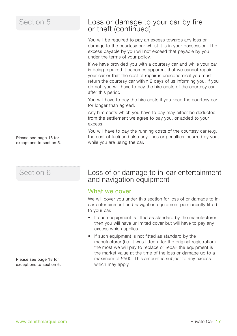Please see page 18 for exceptions to section 5.

# Section 6

Please see page 18 for exceptions to section 6.

## Loss or damage to your car by fire or theft (continued)

You will be required to pay an excess towards any loss or damage to the courtesy car whilst it is in your possession. The excess payable by you will not exceed that payable by you under the terms of your policy.

If we have provided you with a courtesy car and while your car is being repaired it becomes apparent that we cannot repair your car or that the cost of repair is uneconomical you must return the courtesy car within 2 days of us informing you. If you do not, you will have to pay the hire costs of the courtesy car after this period.

You will have to pay the hire costs if you keep the courtesy car for longer than agreed.

Any hire costs which you have to pay may either be deducted from the settlement we agree to pay you, or added to your excess.

You will have to pay the running costs of the courtesy car (e.g. the cost of fuel) and also any fines or penalties incurred by you, while you are using the car.

## Loss of or damage to in-car entertainment and navigation equipment

## What we cover

We will cover you under this section for loss of or damage to incar entertainment and navigation equipment permanently fitted to your car.

- If such equipment is fitted as standard by the manufacturer then you will have unlimited cover but will have to pay any excess which applies.
- If such equipment is not fitted as standard by the manufacturer (i.e. it was fitted after the original registration) the most we will pay to replace or repair the equipment is the market value at the time of the loss or damage up to a maximum of £500. This amount is subject to any excess which may apply.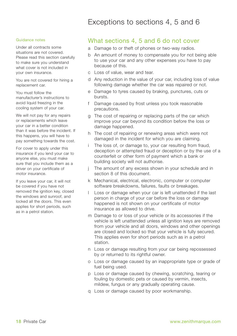# Exceptions to sections 4, 5 and 6

#### Guidance notes

Under all contracts some situations are not covered. Please read this section carefully to make sure you understand what cover is not included in your own insurance.

You are not covered for hiring a replacement car.

You must follow the manufacturer's instructions to avoid liquid freezing in the cooling system of your car.

We will not pay for any repairs or replacements which leave your car in a better condition than it was before the incident. If this happens, you will have to pay something towards the cost.

For cover to apply under this insurance if you lend your car to anyone else, you must make sure that you include them as a driver on your certificate of motor insurance.

If you leave your car, it will not be covered if you have not removed the ignition key, closed the windows and sunroof, and locked all the doors. This even applies for short periods, such as in a petrol station.

## What sections 4, 5 and 6 do not cover

- a Damage to or theft of phones or two-way radios.
- b An amount of money to compensate you for not being able to use your car and any other expenses you have to pay because of this.
- c Loss of value, wear and tear.
- d Any reduction in the value of your car, including loss of value following damage whether the car was repaired or not.
- e Damage to tyres caused by braking, punctures, cuts or bursts.
- f Damage caused by frost unless you took reasonable precautions.
- g The cost of repairing or replacing parts of the car which improve your car beyond its condition before the loss or damage happened.
- h The cost of repairing or renewing areas which were not damaged in the incident for which you are claiming.
- The loss of, or damage to, your car resulting from fraud, deception or attempted fraud or deception or by the use of a counterfeit or other form of payment which a bank or building society will not authorise.
- The amount of any excess shown in your schedule and in section 8 of this document.
- k Mechanical, electrical, electronic, computer or computer software breakdowns, failures, faults or breakages.
- l Loss or damage when your car is left unattended if the last person in charge of your car before the loss or damage happened is not shown on your certificate of motor insurance as allowed to drive.
- m Damage to or loss of your vehicle or its accessories if the vehicle is left unattended unless all ignition keys are removed from your vehicle and all doors, windows and other openings are closed and locked so that your vehicle is fully secured. This applies even for short periods such as in a petrol station.
- n Loss or damage resulting from your car being repossessed by or returned to its rightful owner.
- o Loss or damage caused by an inappropriate type or grade of fuel being used.
- p Loss or damage caused by chewing, scratching, tearing or fouling by domestic pets or caused by vermin, insects, mildew, fungus or any gradually operating cause.
- q Loss or damage caused by poor workmanship.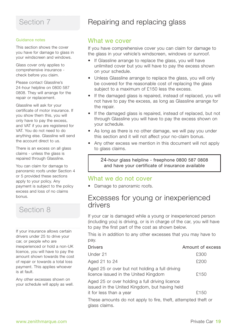#### Guidance notes

This section shows the cover you have for damage to glass in your windscreen and windows.

Glass cover only applies to comprehensive insurance check before you claim.

Please contact Glassline's 24-hour helpline on 0800 587 0808. They will arrange for the repair or replacement.

Glassline will ask for your certificate of motor insurance. If you show them this, you will only have to pay the excess, and VAT if you are registered for VAT. You do not need to do anything else. Glassline will send the account direct to us.

There is an excess on all glass claims - unless the glass is repaired through Glassline.

You can claim for damage to panoramic roofs under Section 4 or 5 provided these sections apply to your policy. Any payment is subject to the policy excess and loss of no claims bonus.

# Section 8

If your insurance allows certain drivers under 25 to drive your car, or people who are inexperienced or hold a non-UK licence, you will have to pay the amount shown towards the cost of repair or towards a total loss payment. This applies whoever is at fault.

Any other excesses shown on your schedule will apply as well.

# Repairing and replacing glass

## What we cover

If you have comprehensive cover you can claim for damage to the glass in your vehicle's windscreen, windows or sunroof.

- If Glassline arrange to replace the glass, you will have unlimited cover but you will have to pay the excess shown on your schedule.
- Unless Glassline arrange to replace the glass, you will only be covered for the reasonable cost of replacing the glass subject to a maximum of £150 less the excess.
- If the damaged glass is repaired, instead of replaced, you will not have to pay the excess, as long as Glassline arrange for the repair.
- If the damaged glass is repaired, instead of replaced, but not through Glassline you will have to pay the excess shown on your schedule.
- As long as there is no other damage, we will pay you under this section and it will not affect your no-claim bonus.
- Any other excess we mention in this document will not apply to glass claims.

24-hour glass helpline - freephone 0800 587 0808 and have your certificate of insurance available

## What we do not cover

• Damage to panoramic roofs.

# Excesses for young or inexperienced<br>drivers

If your car is damaged while a young or inexperienced person (including you) is driving, or is in charge of the car, you will have to pay the first part of the cost as shown below.

This is in addition to any other excesses that you may have to pay.

| <b>Drivers</b>                                                                                  | Amount of excess |
|-------------------------------------------------------------------------------------------------|------------------|
| Under 21                                                                                        | £300             |
| Aged 21 to 24                                                                                   | £200             |
| Aged 25 or over but not holding a full driving<br>licence issued in the United Kingdom          | £150             |
| Aged 25 or over holding a full driving licence<br>issued in the United Kingdom, but having held |                  |
| it for less than a year                                                                         | £150             |
| .                                                                                               |                  |

These amounts do not apply to fire, theft, attempted theft or glass claims.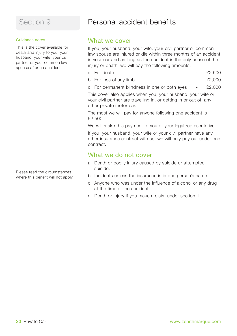#### Guidance notes

This is the cover available for death and injury to you, your husband, your wife, your civil partner or your common law spouse after an accident.

Please read the circumstances where this benefit will not apply.

# Personal accident benefits

## What we cover

If you, your husband, your wife, your civil partner or common law spouse are injured or die within three months of an accident in your car and as long as the accident is the only cause of the injury or death, we will pay the following amounts:

- a For death  $\epsilon$  2.500
- b For loss of any limb £2,000
- c For permanent blindness in one or both eyes £2,000

This cover also applies when you, your husband, your wife or your civil partner are travelling in, or getting in or out of, any other private motor car.

The most we will pay for anyone following one accident is £2,500.

We will make this payment to you or your legal representative.

If you, your husband, your wife or your civil partner have any other insurance contract with us, we will only pay out under one contract.

## What we do not cover

- a Death or bodily injury caused by suicide or attempted suicide.
- b Incidents unless the insurance is in one person's name.
- c Anyone who was under the influence of alcohol or any drug at the time of the accident.
- d Death or injury if you make a claim under section 1.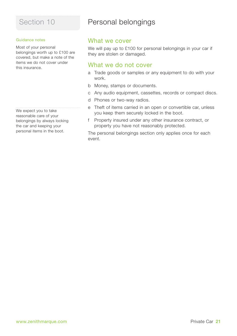#### Guidance notes

Most of your personal belongings worth up to £100 are covered, but make a note of the items we do not cover under this insurance.

We expect you to take reasonable care of your belongings by always locking the car and keeping your personal items in the boot.

# Personal belongings

## What we cover

We will pay up to £100 for personal belongings in your car if they are stolen or damaged.

## What we do not cover

- a Trade goods or samples or any equipment to do with your work.
- b Money, stamps or documents.
- c Any audio equipment, cassettes, records or compact discs.
- d Phones or two-way radios.
- e Theft of items carried in an open or convertible car, unless you keep them securely locked in the boot.
- f Property insured under any other insurance contract, or property you have not reasonably protected.

The personal belongings section only applies once for each event.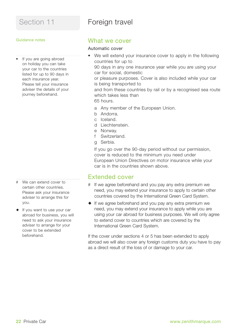# Foreign travel

#### Guidance notes

• If you are going abroad on holiday you can take your car to the countries listed for up to 90 days in each insurance year. Please tell your insurance adviser the details of your journey beforehand.

- # We can extend cover to certain other countries. Please ask your insurance adviser to arrange this for you.
- $\bullet$  If you want to use your car abroad for business, you will need to ask your insurance adviser to arrange for your cover to be extended beforehand.

## What we cover

## Automatic cover

- We will extend your insurance cover to apply in the following countries for up to 90 days in any one insurance year while you are using your car for social, domestic or pleasure purposes. Cover is also included while your car is being transported to and from these countries by rail or by a recognised sea route which takes less than 65 hours. a Any member of the European Union.
	- b Andorra.
	- c Iceland.
	- d Liechtenstein.
	- e Norway.
	- f Switzerland.
	- g Serbia.

If you go over the 90-day period without our permission, cover is reduced to the minimum you need under European Union Directives on motor insurance while your car is in the countries shown above.

## Extended cover

- # If we agree beforehand and you pay any extra premium we need, you may extend your insurance to apply to certain other countries covered by the International Green Card System.
- $\bullet$  If we agree beforehand and you pay any extra premium we need, you may extend your insurance to apply while you are using your car abroad for business purposes. We will only agree to extend cover to countries which are covered by the International Green Card System.

If the cover under sections 4 or 5 has been extended to apply abroad we will also cover any foreign customs duty you have to pay as a direct result of the loss of or damage to your car.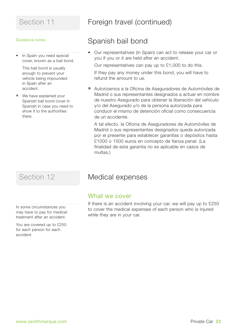#### Guidance notes

• In Spain you need special cover, known as a bail bond.

This bail bond is usually enough to prevent your vehicle being impounded in Spain after an accident.

❋ We have explained your Spanish bail bond cover in Spanish in case you need to show it to the authorities there.

In some circumstances you may have to pay for medical treatment after an accident.

You are covered up to £250 for each person for each accident.

# Section 11 **Foreign travel (continued)**

# Spanish bail bond

• Our representatives (in Spain) can act to release your car or you if you or it are held after an accident.

Our representatives can pay up to £1,000 to do this. If they pay any money under this bond, you will have to refund the amount to us.

❋ Autorizamos a la Oficina de Aseguradores de Automóviles de Madrid o sus representantes designados a actuar en nombre de nuestro Asegurado para obtener la liberación del vehículo y/o del Asegurado y/o de la persona autorizada para conducir el mismo de detención oficial como consecuencia de un accidente.

A tal efecto, la Oficina de Aseguradores de Automóviles de Madrid o sus representantes designados queda autorizada por el presente para establecer garantías o depósitos hasta £1000 o 1500 euros en concepto de fianza penal. (La finalidad de esta garantia no es aplicable en casos de multas.)

# Section 12 **Medical expenses**

## What we cover

If there is an accident involving your car, we will pay up to £250 to cover the medical expenses of each person who is injured while they are in your car.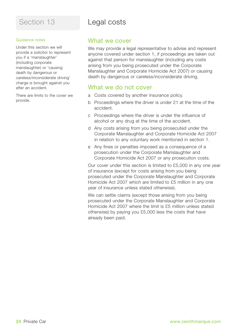## Guidance notes

Under this section we will provide a solicitor to represent you if a 'manslaughter' (including corporate manslaughter) or 'causing death by dangerous or careless/inconsiderate driving' charge is brought against you after an accident.

There are limits to the cover we provide.

# Legal costs

## What we cover

We may provide a legal representative to advise and represent anyone covered under section 1, if proceedings are taken out against that person for manslaughter (including any costs arising from you being prosecuted under the Corporate Manslaughter and Corporate Homicide Act 2007) or causing death by dangerous or careless/inconsiderate driving.

## What we do not cover

- a Costs covered by another insurance policy.
- b Proceedings where the driver is under 21 at the time of the accident.
- c Proceedings where the driver is under the influence of alcohol or any drug at the time of the accident.
- d Any costs arising from you being prosecuted under the Corporate Manslaughter and Corporate Homicide Act 2007 in relation to any voluntary work mentioned in section 1.
- e Any fines or penalties imposed as a consequence of a prosecution under the Corporate Manslaughter and Corporate Homicide Act 2007 or any prosecution costs.

Our cover under this section is limited to £5,000 in any one year of insurance (except for costs arising from you being prosecuted under the Corporate Manslaughter and Corporate Homicide Act 2007 which are limited to £5 million in any one year of insurance unless stated otherwise).

We can settle claims (except those arising from you being prosecuted under the Corporate Manslaughter and Corporate Homicide Act 2007 where the limit is £5 million unless stated otherwise) by paying you £5,000 less the costs that have already been paid.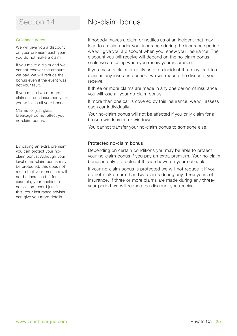#### Guidance notes

We will give you a discount on your premium each year if you do not make a claim.

If you make a claim and we cannot recover the amount we pay, we will reduce the bonus even if the event was not your fault.

If you make two or more claims in one insurance year, you will lose all your bonus.

Claims for just glass breakage do not affect your no-claim bonus.

By paying an extra premium you can protect your noclaim bonus. Although your level of no-claim bonus may be protected, this does not mean that your premium will not be increased if, for example, your accident or conviction record justifies this. Your insurance adviser can give you more details.

# No-claim bonus

If nobody makes a claim or notifies us of an incident that may lead to a claim under your insurance during the insurance period, we will give you a discount when you renew your insurance. The discount you will receive will depend on the no-claim bonus scale we are using when you renew your insurance.

If you make a claim or notify us of an incident that may lead to a claim in any insurance period, we will reduce the discount you receive.

If three or more claims are made in any one period of insurance you will lose all your no-claim bonus.

If more than one car is covered by this insurance, we will assess each car individually.

Your no-claim bonus will not be affected if you only claim for a broken windscreen or windows.

You cannot transfer your no-claim bonus to someone else.

#### Protected no-claim bonus

Depending on certain conditions you may be able to protect your no-claim bonus if you pay an extra premium. Your no-claim bonus is only protected if this is shown on your schedule.

If your no-claim bonus is protected we will not reduce it if you do not make more than two claims during any three years of insurance. If three or more claims are made during any threeyear period we will reduce the discount you receive.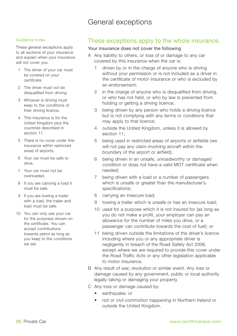# General exceptions

#### Guidance notes

These general exceptions apply to all sections of your insurance and explain when your insurance will not cover you.

- 1 The driver of your car must be covered on your certificate.
- 2 The driver must not be disqualified from driving.
- 3 Whoever is driving must keep to the conditions of their driving licence.
- 4 This insurance is for the United Kingdom plus the countries described in section 11.
- 5 There is no cover under this insurance within restricted areas of airports.
- 6 Your car must be safe to drive.
- 7 Your car must not be overloaded.
- 8 If you are carrying a load it must be safe.
- 9 If you are towing a trailer with a load, the trailer and load must be safe.
- 10 You can only use your car for the purposes shown on the certificate. You can accept contributions towards petrol as long as you keep to the conditions we set.

## These exceptions apply to the whole insurance.

#### Your insurance does not cover the following

- A Any liability to others, or loss of or damage to any car covered by this insurance when the car is:
	- 1 driven by or in the charge of anyone who is driving without your permission or is not included as a driver in the certificate of motor insurance or who is excluded by an endorsement;
	- 2 in the charge of anyone who is disqualified from driving, or who has not held, or who by law is prevented from holding or getting a driving licence;
	- 3 being driven by any person who holds a driving licence but is not complying with any terms or conditions that may apply to that licence;
	- 4 outside the United Kingdom, unless it is allowed by section 11;
	- 5 being used in restricted areas of airports or airfields (we will not pay any claim involving aircraft within the boundary of the airport or airfield);
	- 6 being driven in an unsafe, unroadworthy or damaged condition or does not have a valid MOT certificate when needed;
	- 7 being driven with a load or a number of passengers which is unsafe or greater than the manufacturer's specifications;
	- 8 carrying an insecure load;
	- 9 towing a trailer which is unsafe or has an insecure load;
	- 10 used for a purpose which it is not insured for (as long as you do not make a profit, your employer can pay an allowance for the number of miles you drive, or a passenger can contribute towards the cost of fuel); or
	- 11 being driven outside the limitations of the driver's licence including where you or any appropriate driver is negligently in breach of the Road Safety Act 2006, except where we are required to provide this cover under the Road Traffic Acts or any other legislation applicable to motor insurance.
- B Any result of war, revolution or similar event. Any loss or damage caused by any government, public or local authority legally taking or damaging your property.
- C Any loss or damage caused by:
	- earthquake: or
	- riot or civil commotion happening in Northern Ireland or outside the United Kingdom.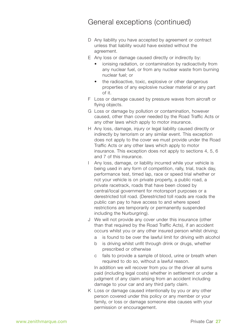# General exceptions (continued)

- D Any liability you have accepted by agreement or contract unless that liability would have existed without the agreement.
- E Any loss or damage caused directly or indirectly by:
	- ionising radiation, or contamination by radioactivity from any nuclear fuel, or from any nuclear waste from burning nuclear fuel; or
	- the radioactive, toxic, explosive or other dangerous properties of any explosive nuclear material or any part of it.
- F Loss or damage caused by pressure waves from aircraft or flying objects.
- G Loss or damage by pollution or contamination, however caused, other than cover needed by the Road Traffic Acts or any other laws which apply to motor insurance.
- H Any loss, damage, injury or legal liability caused directly or indirectly by terrorism or any similar event. This exception does not apply to the cover we must provide under the Road Traffic Acts or any other laws which apply to motor insurance. This exception does not apply to sections 4, 5, 6 and 7 of this insurance.
- I Any loss, damage, or liability incurred while your vehicle is being used in any form of competition, rally, trial, track day, performance test, timed lap, race or speed trial whether or not your vehicle is on private property, a public road, a private racetrack, roads that have been closed by central/local government for motorsport purposes or a derestricted toll road. (Derestricted toll roads are roads the public can pay to have access to and where speed restrictions are temporarily or permanently suspended including the Nurburgring).
- J We will not provide any cover under this insurance (other than that required by the Road Traffic Acts), if an accident occurs whilst you or any other insured person whilst driving;
	- is found to be over the lawful limit for driving with alcohol
	- b is driving whilst unfit through drink or drugs, whether prescribed or otherwise
	- c fails to provide a sample of blood, urine or breath when required to do so, without a lawful reason.

In addition we will recover from you or the driver all sums paid (including legal costs) whether in settlement or under a judgment of any claim arising from an accident including damage to your car and any third party claim.

K Loss or damage caused intentionally by you or any other person covered under this policy or any member or your family, or loss or damage someone else causes with your permission or encouragement.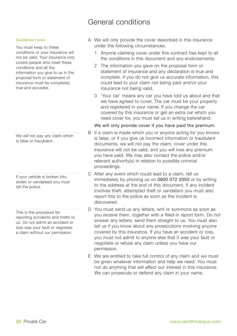# General conditions

#### Guidance notes

You must keep to these conditions or your insurance will not be valid. Your insurance only covers people who meet these conditions and all the information you give to us in the proposal form or statement of insurance must be completely true and accurate.

We will not pay any claim which is false or fraudulent.

If your vehicle is broken into, stolen or vandalised you must tell the police.

This is the procedure for reporting accidents and thefts to us. Do not admit an accident or loss was your fault or negotiate a claim without our permission.

- A We will only provide the cover described in this insurance under the following circumstances.
	- 1 Anyone claiming cover under this contract has kept to all the conditions in this document and any endorsements.
	- 2 The information you gave on the proposal form or statement of insurance and any declaration is true and complete. If you do not give us accurate information, this could lead to your claim not being paid and/or your insurance not being valid.
	- 3 'Your car' means any car you have told us about and that we have agreed to cover. The car must be your property and registered in your name. If you change the car covered by this insurance or get an extra car which you need cover for, you must tell us in writing beforehand.

#### We will only provide cover if you have paid the premium.

- B If a claim is made which you or anyone acting for you knows is false, or if you give us incorrect information or fraudulent documents, we will not pay the claim, cover under this insurance will not be valid, and you will lose any premium you have paid. We may also contact the police and/or relevant authority(s) in relation to possible criminal proceedings.
- C After any event which could lead to a claim, tell us immediately by phoning us on 0800 072 2050 or by writing to the address at the end of this document. If any incident involves theft, attempted theft or vandalism you must also report this to the police as soon as the incident is discovered.
- D You must send us any letters, writ or summons as soon as you receive them, together with a filled-in report form. Do not answer any letters, send them straight to us. You must also tell us if you know about any prosecutions involving anyone covered by this insurance. If you have an accident or loss, you must not admit to anyone else that it was your fault or negotiate or refuse any claim unless you have our permission.
- E We are entitled to take full control of any claim and we must be given whatever information and help we need. You must not do anything that will affect our interest in this insurance. We can prosecute or defend any claim in your name.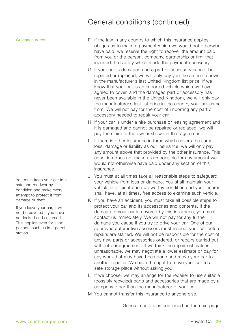Guidance notes

You must keep your car in a safe and roadworthy condition and make every attempt to protect it from damage or theft.

If you leave your car, it will not be covered if you have not locked and secured it. This applies even for short periods, such as in a petrol station.

- F If the law in any country to which this insurance applies obliges us to make a payment which we would not otherwise have paid, we reserve the right to recover the amount paid from you or the person, company, partnership or firm that incurred the liability which made the payment necessary.
- G If your car is damaged and a part or accessory cannot be repaired or replaced, we will only pay you the amount shown in the manufacturer's last United Kingdom list price. If we know that your car is an imported vehicle which we have agreed to cover, and the damaged part or accessory has never been available in the United Kingdom, we will only pay the manufacturer's last list price in the country your car came from. We will not pay for the cost of importing any part or accessory needed to repair your car.
- H If your car is under a hire purchase or leasing agreement and it is damaged and cannot be repaired or replaced, we will pay the claim to the owner shown in that agreement.
- I If there is other insurance in force which covers the same loss, damage or liability as our insurance, we will only pay any amount above that provided by the other insurance. This condition does not make us responsible for any amount we would not otherwise have paid under any section of this insurance.
- J You must at all times take all reasonable steps to safeguard your vehicle from loss or damage. You shall maintain your vehicle in efficient and roadworthy condition and your insurer shall have, at all times, free access to examine such vehicle.
- K If you have an accident, you must take all possible steps to protect your car and its accessories and contents. If the damage to your car is covered by this insurance, you must contact us immediately. We will not pay for any further damage you cause if you try to drive your car. One of our approved automotive assessors must inspect your car before repairs are started. We will not be responsible for the cost of any new parts or accessories ordered, or repairs carried out, without our agreement. If we think the repair estimate is unreasonable, we may negotiate a lower estimate or pay for any work that may have been done and move your car to another repairer. We have the right to move your car to a safe storage place without asking you.
- L If we choose, we may arrange for the repairer to use suitable (possibly recycled) parts and accessories that are made by a company other than the manufacturer of your car.
- M You cannot transfer this insurance to anyone else.

General conditions continued on the next page.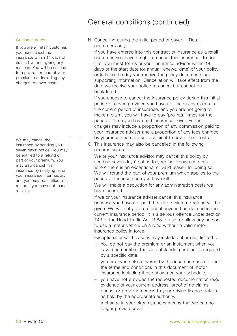#### Guidance notes

If you are a 'retail' customer, you may cancel the insurance within 14 days of its start without giving any reasons. You will be entitled to a pro-rata refund of your premium, not including any charges to cover costs.

We may cancel the insurance by sending you seven days' notice. You may be entitled to a refund of part of your premium. You may also cancel this insurance by notifying us or your insurance intermediary and you may be entitled to a refund if you have not made a claim.

## N Cancelling during the initial period of cover – 'Retail' customers only.

If you have entered into this contract of insurance as a retail customer, you have a right to cancel this insurance. To do this, you must tell us or your insurance adviser within 14 days of the start date (or annual renewal date) of your policy or (if later) the day you receive the policy documents and supporting information. Cancellation will take effect from the date we receive your notice to cancel but cannot be backdated.

If you choose to cancel the insurance policy during this initial period of cover, provided you have not made any claims in the current period of insurance, and you are not going to make a claim, you will have to pay 'pro-rata' rates for the period of time you have had insurance cover. Further charges may include a proportion of any commission paid to your insurance adviser and a proportion of any fees charged by your insurance adviser, sufficient to cover their costs.

O This insurance may also be cancelled in the following circumstances.

We or your insurance advisor may cancel this policy by sending seven days' notice to your last known address where there is an exceptional or valid reason for doing so. We will refund the part of your premium which applies to the period of the insurance you have left.

We will make a deduction for any administration costs we have incurred.

If we or your insurance adviser cancel this insurance because you have not paid the full premium no refund will be given. We will not give a refund if anyone has claimed in the current insurance period. It is a serious offence under section 143 of the Road Traffic Act 1988 to use, or allow any person to use a motor vehicle on a road without a valid motor insurance policy in force.

Exceptional or valid reasons may include but are not limited to:

- You do not pay the premium or an instalment when you have been notified that an outstanding amount is required by a specific date.
- you or anyone else covered by this insurance has not met the terms and conditions in this document of motor insurance including those shown on your schedule.
- you have not provided the requested documentation (e.g. evidence of your current address, proof of no claims bonus) or provided access to your driving licence details as held by the appropriate authority.
- a change in your circumstances means that we can no longer provide cover.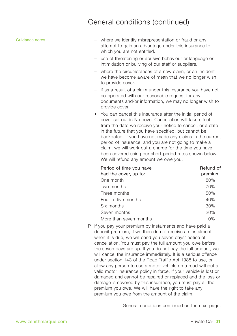#### Guidance notes

- where we identify misrepresentation or fraud or any attempt to gain an advantage under this insurance to which you are not entitled.
- use of threatening or abusive behaviour or language or intimidation or bullying of our staff or suppliers.
- where the circumstances of a new claim, or an incident we have become aware of mean that we no longer wish to provide cover.
- if as a result of a claim under this insurance you have not co-operated with our reasonable request for any documents and/or information, we may no longer wish to provide cover.
- You can cancel this insurance after the initial period of cover set out in N above. Cancellation will take effect from the date we receive your notice to cancel, or a date in the future that you have specified, but cannot be backdated. If you have not made any claims in the current period of insurance, and you are not going to make a claim, we will work out a charge for the time you have been covered using our short-period rates shown below. We will refund any amount we owe you.

| Period of time you have | Refund of |
|-------------------------|-----------|
| had the cover, up to:   | premium   |
| One month               | 80%       |
| Two months              | 70%       |
| Three months            | 50%       |
| Four to five months     | 40%       |
| Six months              | 30%       |
| Seven months            | 20%       |
| More than seven months  | 0%        |

P If you pay your premium by instalments and have paid a deposit premium, if we then do not receive an instalment when it is due, we will send you seven days' notice of cancellation. You must pay the full amount you owe before the seven days are up. If you do not pay the full amount, we will cancel the insurance immediately. It is a serious offence under section 143 of the Road Traffic Act 1988 to use, or allow any person to use a motor vehicle on a road without a valid motor insurance policy in force. If your vehicle is lost or damaged and cannot be repaired or replaced and the loss or damage is covered by this insurance, you must pay all the premium you owe, We will have the right to take any premium you owe from the amount of the claim.

General conditions continued on the next page.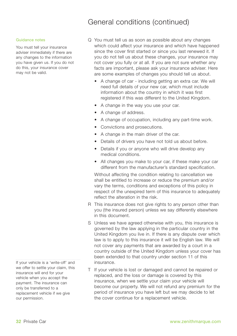#### Guidance notes

You must tell your insurance adviser immediately if there are any changes to the information you have given us. If you do not do this, your insurance cover may not be valid.

If your vehicle is a 'write-off' and we offer to settle your claim, this insurance will end for your vehicle when you accept the payment. The insurance can only be transferred to a replacement vehicle if we give our permission.

- Q You must tell us as soon as possible about any changes which could affect your insurance and which have happened since the cover first started or since you last renewed it. If you do not tell us about these changes, your insurance may not cover you fully or at all. If you are not sure whether any facts are important, please ask your insurance adviser. Here are some examples of changes you should tell us about.
	- A change of car including getting an extra car. We will need full details of your new car, which must include information about the country in which it was first registered if this was different to the United Kingdom.
	- A change in the way you use your car.
	- A change of address.
	- A change of occupation, including any part-time work.
	- Convictions and prosecutions.
	- A change in the main driver of the car.
	- Details of drivers you have not told us about before.
	- Details if you or anyone who will drive develop any medical conditions.
	- All changes you make to your car, if these make your car different from the manufacturer's standard specification.

Without affecting the condition relating to cancellation we shall be entitled to increase or reduce the premium and/or vary the terms, conditions and exceptions of this policy in respect of the unexpired term of this insurance to adequately reflect the alteration in the risk.

- R This insurance does not give rights to any person other than you (the insured person) unless we say differently elsewhere in this document.
- S Unless we have agreed otherwise with you, this insurance is governed by the law applying in the particular country in the United Kingdom you live in. If there is any dispute over which law is to apply to this insurance it will be English law. We will not cover any payments that are awarded by a court in a country outside of the United Kingdom unless your cover has been extended to that country under section 11 of this insurance.
- T If your vehicle is lost or damaged and cannot be repaired or replaced, and the loss or damage is covered by this insurance, when we settle your claim your vehicle will become our property. We will not refund any premium for the period of insurance you have left but we may decide to let the cover continue for a replacement vehicle.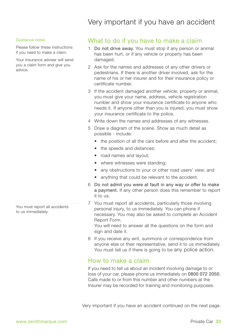# Very important if you have an accident

#### Guidance notes

Please follow these instructions if you need to make a claim.

Your insurance adviser will send you a claim form and give you advice.

You must report all accidents to us immediately.

## What to do if you have to make a claim

- 1 Do not drive away. You must stop if any person or animal has been hurt, or if any vehicle or property has been damaged.
- 2 Ask for the names and addresses of any other drivers or pedestrians. If there is another driver involved, ask for the name of his or her insurer and for their insurance policy or certificate number.
- 3 If the accident damaged another vehicle, property or animal, you must give your name, address, vehicle registration number and show your insurance certificate to anyone who needs it. If anyone other than you is injured, you must show your insurance certificate to the police.
- 4 Write down the names and addresses of any witnesses.
- 5 Draw a diagram of the scene. Show as much detail as possible - include:
	- the position of all the cars before and after the accident:
	- the speeds and distances:
	- road names and layout:
	- where witnesses were standing;
	- any obstructions to your or other road users' view; and
	- anything that could be relevant to the accident.
- 6 Do not admit you were at fault in any way or offer to make a payment. If any other person does this remember to report it to us.
- 7 You must report all accidents, particularly those involving personal injury, to us immediately. You can phone if necessary. You may also be asked to complete an Accident Report Form. You will need to answer all the questions on the form and

sign and date it.

8 If you receive any writ, summons or correspondence from anyone else or their representative, send it to us immediately. You must tell us if there is going to be any police action.

## How to make a claim

If you need to tell us about an incident involving damage to or loss of your car, please phone us immediately on 0800 072 2050. Calls made to or from this number and other numbers at the Insurer may be recorded for training and monitoring purposes.

Very important if you have an accident continued on the next page.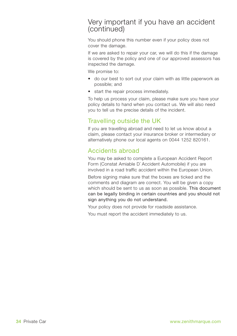## Very important if you have an accident (continued)

You should phone this number even if your policy does not cover the damage.

If we are asked to repair your car, we will do this if the damage is covered by the policy and one of our approved assessors has inspected the damage.

We promise to:

- do our best to sort out your claim with as little paperwork as possible; and
- start the repair process immediately.

To help us process your claim, please make sure you have your policy details to hand when you contact us. We will also need you to tell us the precise details of the incident.

## Travelling outside the UK

If you are travelling abroad and need to let us know about a claim, please contact your insurance broker or intermediary or alternatively phone our local agents on 0044 1252 820161.

## Accidents abroad

You may be asked to complete a European Accident Report Form (Constat Amiable D´ Accident Automobile) if you are involved in a road traffic accident within the European Union.

Before signing make sure that the boxes are ticked and the comments and diagram are correct. You will be given a copy which should be sent to us as soon as possible. This document can be legally binding in certain countries and you should not sign anything you do not understand.

Your policy does not provide for roadside assistance.

You must report the accident immediately to us.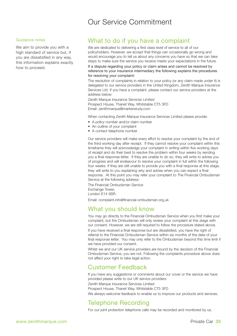# Our Service Commitment

#### Guidance notes

We aim to provide you with a high standard of service but, if you are dissatisfied in any way, this information explains exactly how to proceed.

## What to do if you have a complaint

We are dedicated to delivering a first class level of service to all of our policyholders. However, we accept that things can occasionally go wrong and would encourage you to tell us about any concerns you have so that we can take steps to make sure the service you receive meets your expectations in the future.

If a dispute regarding your policy or claim arises and cannot be resolved by reference to your insurance intermediary the following explains the procedures for resolving your complaint:

The resolution of complaints in relation to your policy (or any claim made under it) is delegated to our service providers in the United Kingdom, Zenith Marque Insurance Services Ltd. If you have a complaint, please contact our service providers at the address below:

Zenith Marque Insurance Services Limited Prospect House, Thanet Way, Whitstable CT5 3FD Email: zenithmarque@markerstudy.com

When contacting Zenith Marque Insurance Services Limited please provide:

- A policy number and/or claim number
- An outline of your complaint
- A contact telephone number

Our service providers will make every effort to resolve your complaint by the end of the third working day after receipt. If they cannot resolve your complaint within this timeframe they will acknowledge your complaint in writing within five working days of receipt and do their best to resolve the problem within four weeks by sending you a final response letter. If they are unable to do so, they will write to advise you of progress and will endeavour to resolve your complaint in full within the following four weeks. If they are still unable to provide you with a final response at this stage, they will write to you explaining why and advise when you can expect a final response. At this point you may refer your complaint to The Financial Ombudsman Service at the following address:

The Financial Ombudsman Service Exchange Tower, London E14 9SR.

Email: complaint.info@financial-ombudsman.org.uk

## What you should know

You may go directly to the Financial Ombudsman Service when you first make your complaint, but the Ombudsman will only review your complaint at this stage with our consent. However, we are still required to follow the procedure stated above. If you have received a final response but are dissatisfied, you have the right of referral to the Financial Ombudsman Service within six months of the date of your final response letter. You may only refer to the Ombudsman beyond this time limit if we have provided our consent.

Whilst we and our UK service providers are bound by the decision of the Financial Ombudsman Service, you are not. Following the complaints procedure above does not affect your right to take legal action.

## Customer Feedback

If you have any suggestions or comments about our cover or the service we have provided please write to our UK service providers: Zenith Marque Insurance Services Limited Prospect House, Thanet Way, Whitstable CT5 3FD

We always welcome feedback to enable us to improve our products and services.

## Telephone Recording

For our joint protection telephone calls may be recorded and monitored by us.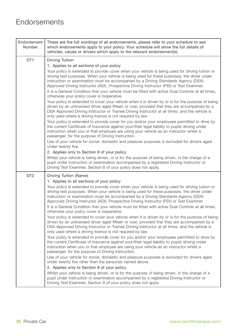# **Endorsements**

| Endorsement<br>Number | These are the full wordings of all endorsements, please refer to your schedule to see<br>which endorsements apply to your policy. Your schedule will show the full details of<br>vehicles, values or drivers which apply to the relevant endorsement(s).                                                                                                                                                                                                                                                                                                                                                                                                                                                                                                                                                                                                                                                                                                                                                                                                                                                                                                                                                                                                                                                                                                                                                                                                                                                                                                                                                                                                                                                                                                                                                       |
|-----------------------|----------------------------------------------------------------------------------------------------------------------------------------------------------------------------------------------------------------------------------------------------------------------------------------------------------------------------------------------------------------------------------------------------------------------------------------------------------------------------------------------------------------------------------------------------------------------------------------------------------------------------------------------------------------------------------------------------------------------------------------------------------------------------------------------------------------------------------------------------------------------------------------------------------------------------------------------------------------------------------------------------------------------------------------------------------------------------------------------------------------------------------------------------------------------------------------------------------------------------------------------------------------------------------------------------------------------------------------------------------------------------------------------------------------------------------------------------------------------------------------------------------------------------------------------------------------------------------------------------------------------------------------------------------------------------------------------------------------------------------------------------------------------------------------------------------------|
| DT <sub>1</sub>       | Driving Tuition<br>1. Applies to all sections of your policy<br>Your policy is extended to provide cover when your vehicle is being used for driving tuition or<br>driving test purposes. When your vehicle is being used for these purposes, the driver under<br>instruction or examination must be accompanied by a Driving Standards Agency (DSA)<br>Approved Driving Instructor (ADI), Prospective Driving Instructor (PDI) or Test Examiner.<br>It is a General Condition that your vehicle must be fitted with active Dual Controls at all times,<br>otherwise your policy cover is inoperative.<br>Your policy is extended to cover your vehicle when it is driven by or is for the purpose of being<br>driven by an unlicensed driver aged fifteen or over, provided that they are accompanied by a<br>DSA Approved Driving Instructor or Trainee Driving Instructor at all times, and the vehicle is<br>only used where a driving licence is not required by law.<br>Your policy is extended to provide cover for you and/or your employees permitted to drive by<br>the current Certificate of Insurance against your/their legal liability to pupils driving under<br>instruction when you or that employee are using your vehicle as an instructor whilst a<br>passenger, for the purpose of Driving Instruction.<br>Use of your vehicle for social, domestic and pleasure purposes is excluded for drivers aged                                                                                                                                                                                                                                                                                                                                                                                   |
|                       | under twenty five.<br>2. Applies only to Section 8 of your policy<br>Whilst your vehicle is being driven, or is for the purpose of being driven, in the charge of a<br>pupil under instruction or examination accompanied by a registered Driving Instructor or<br>Driving Test Examiner, Section 8 of your policy does not apply.                                                                                                                                                                                                                                                                                                                                                                                                                                                                                                                                                                                                                                                                                                                                                                                                                                                                                                                                                                                                                                                                                                                                                                                                                                                                                                                                                                                                                                                                             |
| DT <sub>2</sub>       | Driving Tuition (Name)<br>1. Applies to all sections of your policy<br>Your policy is extended to provide cover when your vehicle is being used for driving tuition or<br>driving test purposes. When your vehicle is being used for these purposes, the driver under<br>instruction or examination must be accompanied by a Driving Standards Agency (DSA)<br>Approved Driving Instructor (ADI), Prospective Driving Instructor (PDI) or Test Examiner.<br>It is a General Condition that your vehicle must be fitted with active Dual Controls at all times,<br>otherwise your policy cover is inoperative.<br>Your policy is extended to cover your vehicle when it is driven by or is for the purpose of being<br>driven by an unlicensed driver aged fifteen or over, provided that they are accompanied by a<br>DSA Approved Driving Instructor or Trainee Driving Instructor at all times, and the vehicle is<br>only used where a driving licence is not required by law.<br>Your policy is extended to provide cover for you and/or your employees permitted to drive by<br>the current Certificate of Insurance against your/their legal liability to pupils driving under<br>instruction when you or that employee are using your vehicle as an instructor whilst a<br>passenger, for the purpose of Driving Instruction.<br>Use of your vehicle for social, domestic and pleasure purposes is excluded for drivers aged<br>under twenty five other than the person(s) named above.<br>2. Applies only to Section 8 of your policy<br>Whilst your vehicle is being driven, or is for the purpose of being driven, in the charge of a<br>pupil under instruction or examination accompanied by a registered Driving Instructor or<br>Driving Test Examiner, Section 8 of your policy does not apply. |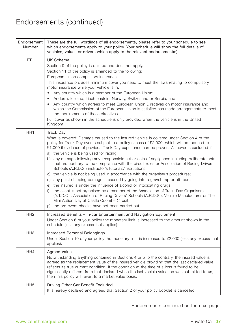| Endorsement<br>Number | These are the full wordings of all endorsements, please refer to your schedule to see<br>which endorsements apply to your policy. Your schedule will show the full details of<br>vehicles, values or drivers which apply to the relevant endorsement(s).                                                                                                                                                                                                                                                                                                                                                                                                                                                                                                                                                                                                                                                                                                                                                                                                                                                                                             |
|-----------------------|------------------------------------------------------------------------------------------------------------------------------------------------------------------------------------------------------------------------------------------------------------------------------------------------------------------------------------------------------------------------------------------------------------------------------------------------------------------------------------------------------------------------------------------------------------------------------------------------------------------------------------------------------------------------------------------------------------------------------------------------------------------------------------------------------------------------------------------------------------------------------------------------------------------------------------------------------------------------------------------------------------------------------------------------------------------------------------------------------------------------------------------------------|
| ET <sub>1</sub>       | <b>UK Scheme</b><br>Section 9 of the policy is deleted and does not apply.<br>Section 11 of the policy is amended to the following:<br>European Union compulsory insurance<br>This insurance provides minimum cover you need to meet the laws relating to compulsory<br>motor insurance while your vehicle is in:<br>Any country which is a member of the European Union;<br>$\bullet$<br>$\bullet$<br>Andorra, Iceland, Liechtenstein, Norway, Switzerland or Serbia; and<br>• Any country which agrees to meet European Union Directives on motor insurance and<br>which the Commission of the European Union is satisfied has made arrangements to meet<br>the requirements of these directives.<br>Full cover as shown in the schedule is only provided when the vehicle is in the United<br>Kingdom.                                                                                                                                                                                                                                                                                                                                            |
| HH <sub>1</sub>       | Track Day<br>What is covered: Damage caused to the insured vehicle is covered under Section 4 of the<br>policy for Track Day events subject to a policy excess of £2,000, which will be reduced to<br>£1,000 if evidence of previous Track Day experience can be proven. All cover is excluded if:<br>a) the vehicle is being used for racing;<br>b) any damage following any irresponsible act or acts of negligence including deliberate acts<br>that are contrary to the compliance with the circuit rules or Association of Racing Drivers'<br>Schools (A.R.D.S.) instructor's tutorials/instructions;<br>c) the vehicle is not being used in accordance with the organiser's procedures;<br>d) any paint chipping damage is caused by going into a gravel trap or off road;<br>e) the insured is under the influence of alcohol or intoxicating drugs;<br>f) the event is not organised by a member of the Association of Track Day Organisers<br>(A.T.D.O.), Association of Racing Drivers' Schools (A.R.D.S.), Vehicle Manufacturer or The<br>Mini Action Day at Castle Coombe Circuit;<br>g) the pre-event checks have not been carried out. |
| HH <sub>2</sub>       | Increased Benefits - In-car Entertainment and Navigation Equipment<br>Under Section 6 of your policy the monetary limit is increased to the amount shown in the<br>schedule (less any excess that applies).                                                                                                                                                                                                                                                                                                                                                                                                                                                                                                                                                                                                                                                                                                                                                                                                                                                                                                                                          |
| HH <sub>3</sub>       | Increased Personal Belongings<br>Under Section 10 of your policy the monetary limit is increased to £2,000 (less any excess that<br>applies).                                                                                                                                                                                                                                                                                                                                                                                                                                                                                                                                                                                                                                                                                                                                                                                                                                                                                                                                                                                                        |
| HH4                   | <b>Agreed Value</b><br>Notwithstanding anything contained in Sections 4 or 5 to the contrary, the insured value is<br>agreed as the replacement value of the insured vehicle providing that the last declared value<br>reflects its true current condition. If the condition at the time of a loss is found to be<br>significantly different from that declared when the last vehicle valuation was submitted to us,<br>then this policy will revert to a market value basis.                                                                                                                                                                                                                                                                                                                                                                                                                                                                                                                                                                                                                                                                        |
| HH <sub>5</sub>       | Driving Other Car Benefit Excluded<br>It is hereby declared and agreed that Section 2 of your policy booklet is cancelled.                                                                                                                                                                                                                                                                                                                                                                                                                                                                                                                                                                                                                                                                                                                                                                                                                                                                                                                                                                                                                           |

Endorsements continued on the next page.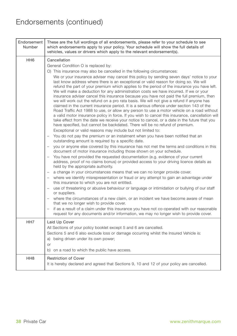| Endorsement<br>Number | These are the full wordings of all endorsements, please refer to your schedule to see<br>which endorsements apply to your policy. Your schedule will show the full details of<br>vehicles, values or drivers which apply to the relevant endorsement(s).                                                                                                                                                                                                                                                                                                                                                                                                                                                                                                                                                                                                                                                                                                                                                                                                                                                                                                                                                                                                                                                                                                                                                                                                                                                                                                                                                                                                                                                                                                                                                                                                                                                                                                                                                                                                                                                                                                                                                                                                                                                                                                                                                                                                                 |
|-----------------------|--------------------------------------------------------------------------------------------------------------------------------------------------------------------------------------------------------------------------------------------------------------------------------------------------------------------------------------------------------------------------------------------------------------------------------------------------------------------------------------------------------------------------------------------------------------------------------------------------------------------------------------------------------------------------------------------------------------------------------------------------------------------------------------------------------------------------------------------------------------------------------------------------------------------------------------------------------------------------------------------------------------------------------------------------------------------------------------------------------------------------------------------------------------------------------------------------------------------------------------------------------------------------------------------------------------------------------------------------------------------------------------------------------------------------------------------------------------------------------------------------------------------------------------------------------------------------------------------------------------------------------------------------------------------------------------------------------------------------------------------------------------------------------------------------------------------------------------------------------------------------------------------------------------------------------------------------------------------------------------------------------------------------------------------------------------------------------------------------------------------------------------------------------------------------------------------------------------------------------------------------------------------------------------------------------------------------------------------------------------------------------------------------------------------------------------------------------------------------|
| HH <sub>6</sub>       | Cancellation<br>General Condition O is replaced by:<br>O) This insurance may also be cancelled in the following circumstances:<br>We or your insurance adviser may cancel this policy by sending seven days' notice to your<br>last know address where there is an exceptional or valid reason for doing so. We will<br>refund the part of your premium which applies to the period of the insurance you have left.<br>We will make a deduction for any administration costs we have incurred. If we or your<br>insurance adviser cancel this insurance because you have not paid the full premium, then<br>we will work out the refund on a pro rata basis. We will not give a refund if anyone has<br>claimed in the current insurance period. It is a serious offence under section 143 of the<br>Road Traffic Act 1988 to use, or allow any person to use a motor vehicle on a road without<br>a valid motor insurance policy in force. If you wish to cancel this insurance, cancellation will<br>take effect from the date we receive your notice to cancel, or a date in the future that you<br>have specified, but cannot be backdated. There will be no refund of premium.<br>Exceptional or valid reasons may include but not limited to:<br>You do not pay the premium or an instalment when you have been notified that an<br>outstanding amount is required by a specific date.<br>you or anyone else covered by this insurance has not met the terms and conditions in this<br>document of motor insurance including those shown on your schedule.<br>You have not provided the requested documentation (e.g. evidence of your current<br>$-$<br>address, proof of no claims bonus) or provided access to your driving licence details as<br>held by the appropriate authority.<br>a change in your circumstances means that we can no longer provide cover.<br>$-$<br>where we identify misrepresentation or fraud or any attempt to gain an advantage under<br>this insurance to which you are not entitled.<br>use of threatening or abusive behaviour or language or intimidation or bullying of our staff<br>or suppliers.<br>where the circumstances of a new claim, or an incident we have become aware of mean<br>that we no longer wish to provide cover.<br>if as a result of a claim under this insurance you have not co-operated with our reasonable<br>request for any documents and/or information, we may no longer wish to provide cover. |
| HH <sub>7</sub>       | Laid Up Cover<br>All Sections of your policy booklet except 5 and 6 are cancelled.<br>Sections 5 and 6 also exclude loss or damage occurring whilst the Insured Vehicle is:<br>a) being driven under its own power;<br>or<br>b) on a road to which the public have access.                                                                                                                                                                                                                                                                                                                                                                                                                                                                                                                                                                                                                                                                                                                                                                                                                                                                                                                                                                                                                                                                                                                                                                                                                                                                                                                                                                                                                                                                                                                                                                                                                                                                                                                                                                                                                                                                                                                                                                                                                                                                                                                                                                                               |
| HH <sub>8</sub>       | <b>Restriction of Cover</b><br>It is hereby declared and agreed that Sections 9, 10 and 12 of your policy are cancelled.                                                                                                                                                                                                                                                                                                                                                                                                                                                                                                                                                                                                                                                                                                                                                                                                                                                                                                                                                                                                                                                                                                                                                                                                                                                                                                                                                                                                                                                                                                                                                                                                                                                                                                                                                                                                                                                                                                                                                                                                                                                                                                                                                                                                                                                                                                                                                 |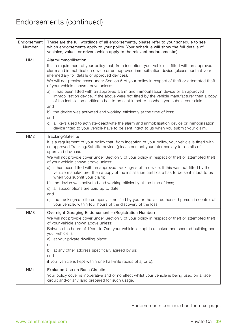| Endorsement<br>Number | These are the full wordings of all endorsements, please refer to your schedule to see<br>which endorsements apply to your policy. Your schedule will show the full details of<br>vehicles, values or drivers which apply to the relevant endorsement(s).                                                                                                                                                                                                                                                                                                                                                                                                                                                                                                                                                                                                                                                                                                                                  |
|-----------------------|-------------------------------------------------------------------------------------------------------------------------------------------------------------------------------------------------------------------------------------------------------------------------------------------------------------------------------------------------------------------------------------------------------------------------------------------------------------------------------------------------------------------------------------------------------------------------------------------------------------------------------------------------------------------------------------------------------------------------------------------------------------------------------------------------------------------------------------------------------------------------------------------------------------------------------------------------------------------------------------------|
| HM <sub>1</sub>       | Alarm/Immobilisation<br>It is a requirement of your policy that, from inception, your vehicle is fitted with an approved<br>alarm and immobilisation device or an approved immobilisation device (please contact your<br>intermediary for details of approved devices).<br>We will not provide cover under Section 5 of your policy in respect of theft or attempted theft<br>of your vehicle shown above unless:<br>a) it has been fitted with an approved alarm and immobilisation device or an approved<br>immobilisation device. If the above were not fitted by the vehicle manufacturer then a copy<br>of the installation certificate has to be sent intact to us when you submit your claim;<br>and<br>b) the device was activated and working efficiently at the time of loss;<br>and<br>c) all keys used to activate/deactivate the alarm and immobilisation device or immobilisation<br>device fitted to your vehicle have to be sent intact to us when you submit your claim. |
| HM <sub>2</sub>       | Tracking/Satellite<br>It is a requirement of your policy that, from inception of your policy, your vehicle is fitted with<br>an approved Tracking/Satellite device, (please contact your intermediary for details of<br>approved devices).<br>We will not provide cover under Section 5 of your policy in respect of theft or attempted theft<br>of your vehicle shown above unless:<br>a) it has been fitted with an approved tracking/satellite device. If this was not fitted by the<br>vehicle manufacturer then a copy of the installation certificate has to be sent intact to us<br>when you submit your claim;<br>b) the device was activated and working efficiently at the time of loss;<br>c) all subscriptions are paid up to date;<br>and<br>d) the tracking/satellite company is notified by you or the last authorised person in control of<br>your vehicle, within four hours of the discovery of the loss.                                                               |
| HM <sub>3</sub>       | Overnight Garaging Endorsement – (Registration Number)<br>We will not provide cover under Section 5 of your policy in respect of theft or attempted theft<br>of your vehicle shown above unless:<br>Between the hours of 10pm to 7am your vehicle is kept in a locked and secured building and<br>your vehicle is<br>a) at your private dwelling place;<br>or<br>b) at any other address specifically agreed by us;<br>and<br>if your vehicle is kept within one half-mile radius of a) or b).                                                                                                                                                                                                                                                                                                                                                                                                                                                                                            |
| HM4                   | <b>Excluded Use on Race Circuits</b><br>Your policy cover is inoperative and of no effect whilst your vehicle is being used on a race<br>circuit and/or any land prepared for such usage.                                                                                                                                                                                                                                                                                                                                                                                                                                                                                                                                                                                                                                                                                                                                                                                                 |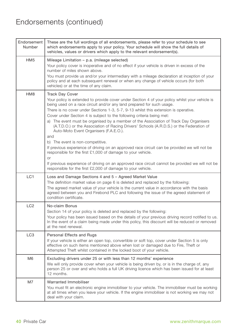| Endorsement<br>Number | These are the full wordings of all endorsements, please refer to your schedule to see<br>which endorsements apply to your policy. Your schedule will show the full details of<br>vehicles, values or drivers which apply to the relevant endorsement(s).                                                                                                                                                                                                                                                                                                                                                                                                                                                                                                                                                                                                                                                                                                                           |
|-----------------------|------------------------------------------------------------------------------------------------------------------------------------------------------------------------------------------------------------------------------------------------------------------------------------------------------------------------------------------------------------------------------------------------------------------------------------------------------------------------------------------------------------------------------------------------------------------------------------------------------------------------------------------------------------------------------------------------------------------------------------------------------------------------------------------------------------------------------------------------------------------------------------------------------------------------------------------------------------------------------------|
| HM <sub>5</sub>       | Mileage Limitation - p.a. (mileage selected)<br>Your policy cover is inoperative and of no effect if your vehicle is driven in excess of the<br>number of miles shown above.<br>You must provide us and/or your intermediary with a mileage declaration at inception of your<br>policy and at each subsequent renewal or when any change of vehicle occurs (for both<br>vehicles) or at the time of any claim.                                                                                                                                                                                                                                                                                                                                                                                                                                                                                                                                                                     |
| HM8                   | <b>Track Day Cover</b><br>Your policy is extended to provide cover under Section 4 of your policy whilst your vehicle is<br>being used on a race circuit and/or any land prepared for such usage.<br>There is no cover under Sections 1-3, 5-7, 9-13 whilst this extension is operative.<br>Cover under Section 4 is subject to the following criteria being met:<br>a) The event must be organised by a member of the Association of Track Day Organisers<br>(A.T.D.O.) or the Association of Racing Drivers' Schools (A.R.D.S.) or the Federation of<br>Auto-Moto Event Organisers (F.A.E.O.).<br>and<br>b) The event is non-competitive.<br>If previous experience of driving on an approved race circuit can be provided we will not be<br>responsible for the first £1,000 of damage to your vehicle.<br>or<br>If previous experience of driving on an approved race circuit cannot be provided we will not be<br>responsible for the first £2,000 of damage to your vehicle. |
| LC <sub>1</sub>       | Loss and Damage Sections 4 and 5 - Agreed Market Value<br>The definition market value on page 6 is deleted and replaced by the following:<br>The agreed market value of your vehicle is the current value in accordance with the basis<br>agreed between you and Firebond PLC and following the issue of the agreed statement of<br>condition certificate.                                                                                                                                                                                                                                                                                                                                                                                                                                                                                                                                                                                                                         |
| LC <sub>2</sub>       | No-claim Bonus<br>Section 14 of your policy is deleted and replaced by the following:<br>Your policy has been issued based on the details of your previous driving record notified to us.<br>In the event of a claim being made under this policy, this discount will be reduced or removed<br>at the next renewal.                                                                                                                                                                                                                                                                                                                                                                                                                                                                                                                                                                                                                                                                |
| LC <sub>3</sub>       | Personal Effects and Rugs<br>If your vehicle is either an open top, convertible or soft top, cover under Section 5 is only<br>effective on such items mentioned above when lost or damaged due to Fire, Theft or<br>Attempted Theft whilst contained in the locked boot of your vehicle.                                                                                                                                                                                                                                                                                                                                                                                                                                                                                                                                                                                                                                                                                           |
| M <sub>6</sub>        | Excluding drivers under 25 or with less than 12 months' experience<br>We will only provide cover when your vehicle is being driven by, or is in the charge of, any<br>person 25 or over and who holds a full UK driving licence which has been issued for at least<br>12 months.                                                                                                                                                                                                                                                                                                                                                                                                                                                                                                                                                                                                                                                                                                   |
| M7                    | Warranted Immobiliser<br>You must fit an electronic engine immobiliser to your vehicle. The immobiliser must be working<br>at all times when you leave your vehicle. If the engine immobiliser is not working we may not<br>deal with your claim.                                                                                                                                                                                                                                                                                                                                                                                                                                                                                                                                                                                                                                                                                                                                  |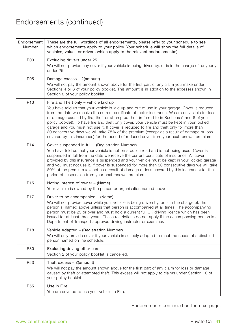| Endorsement<br>Number | These are the full wordings of all endorsements, please refer to your schedule to see<br>which endorsements apply to your policy. Your schedule will show the full details of<br>vehicles, values or drivers which apply to the relevant endorsement(s).                                                                                                                                                                                                                                                                                                                                                                                                                                                                         |
|-----------------------|----------------------------------------------------------------------------------------------------------------------------------------------------------------------------------------------------------------------------------------------------------------------------------------------------------------------------------------------------------------------------------------------------------------------------------------------------------------------------------------------------------------------------------------------------------------------------------------------------------------------------------------------------------------------------------------------------------------------------------|
| P03                   | Excluding drivers under 25<br>We will not provide any cover if your vehicle is being driven by, or is in the charge of, anybody<br>under 25.                                                                                                                                                                                                                                                                                                                                                                                                                                                                                                                                                                                     |
| P05                   | Damage excess - £(amount)<br>We will not pay the amount shown above for the first part of any claim you make under<br>Sections 4 or 6 of your policy booklet. This amount is in addition to the excesses shown in<br>Section 8 of your policy booklet.                                                                                                                                                                                                                                                                                                                                                                                                                                                                           |
| P <sub>13</sub>       | Fire and Theft only - vehicle laid up<br>You have told us that your vehicle is laid up and out of use in your garage. Cover is reduced<br>from the date we receive the current certificate of motor insurance. We are only liable for loss<br>or damage caused by fire, theft or attempted theft (referred to in Sections 5 and 6 of your<br>policy booklet). To have fire and theft only cover, your vehicle must be kept in your locked<br>garage and you must not use it. If cover is reduced to fire and theft only for more than<br>30 consecutive days we will take 75% of the premium (except as a result of damage or loss<br>covered by this insurance) for the period of reduced cover from your next renewal premium. |
| P <sub>14</sub>       | Cover suspended in full - (Registration Number)<br>You have told us that your vehicle is not on a public road and is not being used. Cover is<br>suspended in full from the date we receive the current certificate of insurance. All cover<br>provided by this insurance is suspended and your vehicle must be kept in your locked garage<br>and you must not use it. If cover is suspended for more than 30 consecutive days we will take<br>80% of the premium (except as a result of damage or loss covered by this insurance) for the<br>period of suspension from your next renewal premium.                                                                                                                               |
| P <sub>15</sub>       | Noting interest of owner – (Name)<br>Your vehicle is owned by the person or organisation named above.                                                                                                                                                                                                                                                                                                                                                                                                                                                                                                                                                                                                                            |
| P <sub>17</sub>       | Driver to be accompanied – (Name)<br>We will not provide cover while your vehicle is being driven by, or is in the charge of, the<br>person(s) named above unless that person is accompanied at all times. The accompanying<br>person must be 25 or over and must hold a current full UK driving licence which has been<br>issued for at least three years. These restrictions do not apply if the accompanying person is a<br>Department of Transport approved driving instructor or examiner.                                                                                                                                                                                                                                  |
| P18                   | Vehicle Adapted - (Registration Number)<br>We will only provide cover if your vehicle is suitably adapted to meet the needs of a disabled<br>person named on the schedule.                                                                                                                                                                                                                                                                                                                                                                                                                                                                                                                                                       |
| P30                   | Excluding driving other cars<br>Section 2 of your policy booklet is cancelled.                                                                                                                                                                                                                                                                                                                                                                                                                                                                                                                                                                                                                                                   |
| P <sub>53</sub>       | Theft excess $-$ £(amount)<br>We will not pay the amount shown above for the first part of any claim for loss or damage<br>caused by theft or attempted theft. This excess will not apply to claims under Section 10 of<br>your policy booklet.                                                                                                                                                                                                                                                                                                                                                                                                                                                                                  |
| P55                   | Use in Eire<br>You are covered to use your vehicle in Eire.                                                                                                                                                                                                                                                                                                                                                                                                                                                                                                                                                                                                                                                                      |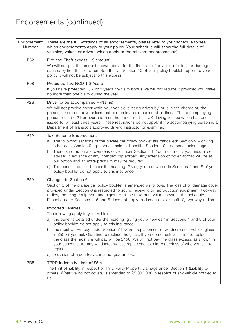| Endorsement<br>Number | These are the full wordings of all endorsements, please refer to your schedule to see<br>which endorsements apply to your policy. Your schedule will show the full details of<br>vehicles, values or drivers which apply to the relevant endorsement(s).                                                                                                                                                                                                                                                                                                                                                                                                                   |
|-----------------------|----------------------------------------------------------------------------------------------------------------------------------------------------------------------------------------------------------------------------------------------------------------------------------------------------------------------------------------------------------------------------------------------------------------------------------------------------------------------------------------------------------------------------------------------------------------------------------------------------------------------------------------------------------------------------|
| P82                   | Fire and Theft excess $-$ £(amount)<br>We will not pay the amount shown above for the first part of any claim for loss or damage<br>caused by fire, theft or attempted theft. If Section 10 of your policy booklet applies to your<br>policy it will not be subject to this excess.                                                                                                                                                                                                                                                                                                                                                                                        |
| P98                   | Protected Taxi NCD 1-3 Years<br>If you have protected 1, 2 or 3 years no-claim bonus we will not reduce it provided you make<br>no more than one claim during the year.                                                                                                                                                                                                                                                                                                                                                                                                                                                                                                    |
| P <sub>2</sub> B      | Driver to be accompanied - (Name)<br>We will not provide cover while your vehicle is being driven by, or is in the charge of, the<br>person(s) named above unless that person is accompanied at all times. The accompanying<br>person must be 21 or over and must hold a current full UK driving licence which has been<br>issued for at least three years. These restrictions do not apply if the accompanying person is a<br>Department of Transport approved driving instructor or examiner.                                                                                                                                                                            |
| P <sub>4</sub> A      | Taxi Scheme Endorsement<br>a) The following sections of the private car policy booklet are cancelled: Section 2 – driving<br>other cars, Section 9 – personal accident benefits, Section 10 – personal belongings.<br>b) There is no automatic overseas cover under Section 11. You must notify your insurance<br>adviser in advance of any intended trip abroad. Any extension of cover abroad will be at<br>our option and an extra premium may be required.<br>c) The benefits detailed under the heading 'Giving you a new car' in Sections 4 and 5 of your<br>policy booklet do not apply to this insurance.                                                          |
| P <sub>5</sub> A      | Changes to Section 6<br>Section 6 of the private car policy booklet is amended as follows: The loss of or damage cover<br>provided under Section 6 is restricted to sound receiving or reproduction equipment, two-way<br>radios, metering equipment and signs up to the maximum value shown in the schedule.<br>Exception a to Sections 4, 5 and 6 does not apply to damage to, or theft of, two-way radios.                                                                                                                                                                                                                                                              |
| P <sub>6</sub> C      | <b>Imported Vehicles</b><br>The following apply to your vehicle:<br>a) the benefits detailed under the heading 'giving you a new car' in Sections 4 and 5 of your<br>policy booklet do not apply to this insurance.<br>b) the most we will pay under Section 7 towards replacement of windscreen or vehicle glass<br>is £500 if you ask Glassline to replace the glass. If you do not ask Glassline to replace<br>the glass the most we will pay will be £150. We will not pay the glass excess, as shown in<br>your schedule, for any windscreen/glass replacement claim regardless of who you ask to<br>replace it.<br>c) provision of a courtesy car is not guaranteed. |
| PB <sub>5</sub>       | TPPD Indemnity Limit of £5m<br>The limit of liability in respect of Third Party Property Damage under Section 1 (Liability to<br>others, What we do not cover), is amended to £5,000,000 in respect of any vehicle notified to<br>us.                                                                                                                                                                                                                                                                                                                                                                                                                                      |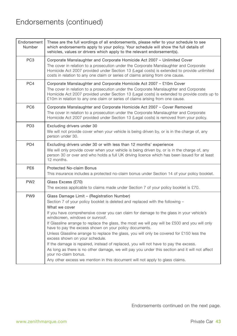| Endorsement<br>Number | These are the full wordings of all endorsements, please refer to your schedule to see<br>which endorsements apply to your policy. Your schedule will show the full details of<br>vehicles, values or drivers which apply to the relevant endorsement(s).                                                                                                                                                                                                                                                                                                                                                                                                                                                                                                                                                                                                                |
|-----------------------|-------------------------------------------------------------------------------------------------------------------------------------------------------------------------------------------------------------------------------------------------------------------------------------------------------------------------------------------------------------------------------------------------------------------------------------------------------------------------------------------------------------------------------------------------------------------------------------------------------------------------------------------------------------------------------------------------------------------------------------------------------------------------------------------------------------------------------------------------------------------------|
| PC <sub>3</sub>       | Corporate Manslaughter and Corporate Homicide Act 2007 - Unlimited Cover<br>The cover in relation to a prosecution under the Corporate Manslaughter and Corporate<br>Homicide Act 2007 provided under Section 13 (Legal costs) is extended to provide unlimited<br>costs in relation to any one claim or series of claims arising from one cause.                                                                                                                                                                                                                                                                                                                                                                                                                                                                                                                       |
| PC4                   | Corporate Manslaughter and Corporate Homicide Act 2007 - £10m Cover<br>The cover in relation to a prosecution under the Corporate Manslaughter and Corporate<br>Homicide Act 2007 provided under Section 13 (Legal costs) is extended to provide costs up to<br>£10m in relation to any one claim or series of claims arising from one cause.                                                                                                                                                                                                                                                                                                                                                                                                                                                                                                                           |
| PC <sub>6</sub>       | Corporate Manslaughter and Corporate Homicide Act 2007 - Cover Removed<br>The cover in relation to a prosecution under the Corporate Manslaughter and Corporate<br>Homicide Act 2007 provided under Section 13 (Legal costs) is removed from your policy.                                                                                                                                                                                                                                                                                                                                                                                                                                                                                                                                                                                                               |
| PD <sub>3</sub>       | Excluding drivers under 30<br>We will not provide cover when your vehicle is being driven by, or is in the charge of, any<br>person under 30.                                                                                                                                                                                                                                                                                                                                                                                                                                                                                                                                                                                                                                                                                                                           |
| PD <sub>4</sub>       | Excluding drivers under 30 or with less than 12 months' experience<br>We will only provide cover when your vehicle is being driven by, or is in the charge of, any<br>person 30 or over and who holds a full UK driving licence which has been issued for at least<br>12 months.                                                                                                                                                                                                                                                                                                                                                                                                                                                                                                                                                                                        |
| PE <sub>6</sub>       | <b>Protected No-claim Bonus</b><br>This insurance includes a protected no-claim bonus under Section 14 of your policy booklet.                                                                                                                                                                                                                                                                                                                                                                                                                                                                                                                                                                                                                                                                                                                                          |
| PW <sub>2</sub>       | Glass Excess (£70)<br>The excess applicable to claims made under Section 7 of your policy booklet is £70.                                                                                                                                                                                                                                                                                                                                                                                                                                                                                                                                                                                                                                                                                                                                                               |
| PW <sub>9</sub>       | Glass Damage Limit - (Registration Number)<br>Section 7 of your policy booklet is deleted and replaced with the following -<br>What we cover<br>If you have comprehensive cover you can claim for damage to the glass in your vehicle's<br>windscreen, windows or sunroof.<br>If Glassline arrange to replace the glass, the most we will pay will be £500 and you will only<br>have to pay the excess shown on your policy documents.<br>Unless Glassline arrange to replace the glass, you will only be covered for £150 less the<br>excess shown on your schedule.<br>If the damage is repaired, instead of replaced, you will not have to pay the excess.<br>As long as there is no other damage, we will pay you under this section and it will not affect<br>your no-claim bonus.<br>Any other excess we mention in this document will not apply to glass claims. |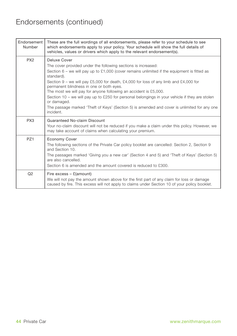| Endorsement<br>Number | These are the full wordings of all endorsements, please refer to your schedule to see<br>which endorsements apply to your policy. Your schedule will show the full details of<br>vehicles, values or drivers which apply to the relevant endorsement(s).                                                                                                                                                                                                                                                                                                                                                                           |
|-----------------------|------------------------------------------------------------------------------------------------------------------------------------------------------------------------------------------------------------------------------------------------------------------------------------------------------------------------------------------------------------------------------------------------------------------------------------------------------------------------------------------------------------------------------------------------------------------------------------------------------------------------------------|
| PX <sub>2</sub>       | Deluxe Cover<br>The cover provided under the following sections is increased:<br>Section $6$ – we will pay up to £1,000 (cover remains unlimited if the equipment is fitted as<br>standard).<br>Section 9 – we will pay £5,000 for death, £4,000 for loss of any limb and £4,000 for<br>permanent blindness in one or both eyes.<br>The most we will pay for anyone following an accident is £5,000.<br>Section 10 – we will pay up to £250 for personal belongings in your vehicle if they are stolen<br>or damaged.<br>The passage marked 'Theft of Keys' (Section 5) is amended and cover is unlimited for any one<br>incident. |
| PX3                   | Guaranteed No-claim Discount<br>Your no-claim discount will not be reduced if you make a claim under this policy. However, we<br>may take account of claims when calculating your premium.                                                                                                                                                                                                                                                                                                                                                                                                                                         |
| PZ <sub>1</sub>       | <b>Economy Cover</b><br>The following sections of the Private Car policy booklet are cancelled: Section 2, Section 9<br>and Section 10.<br>The passages marked 'Giving you a new car' (Section 4 and 5) and 'Theft of Keys' (Section 5)<br>are also cancelled.<br>Section 6 is amended and the amount covered is reduced to £300.                                                                                                                                                                                                                                                                                                  |
| Q2                    | Fire excess $-$ £(amount)<br>We will not pay the amount shown above for the first part of any claim for loss or damage<br>caused by fire. This excess will not apply to claims under Section 10 of your policy booklet.                                                                                                                                                                                                                                                                                                                                                                                                            |